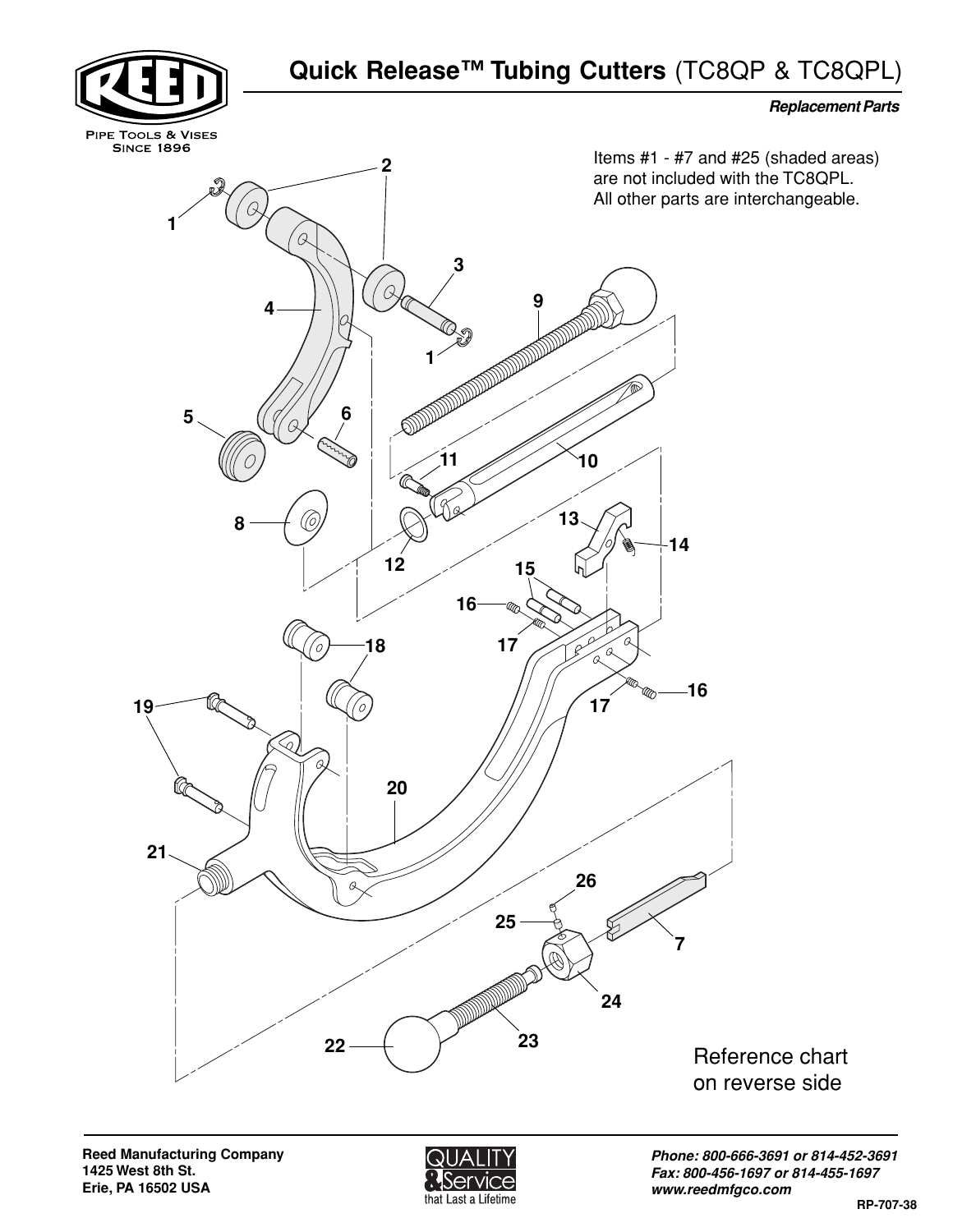



**Phone: 800-666-3691 or 814-452-3691 Fax: 800-456-1697 or 814-455-1697 www.reedmfgco.com**